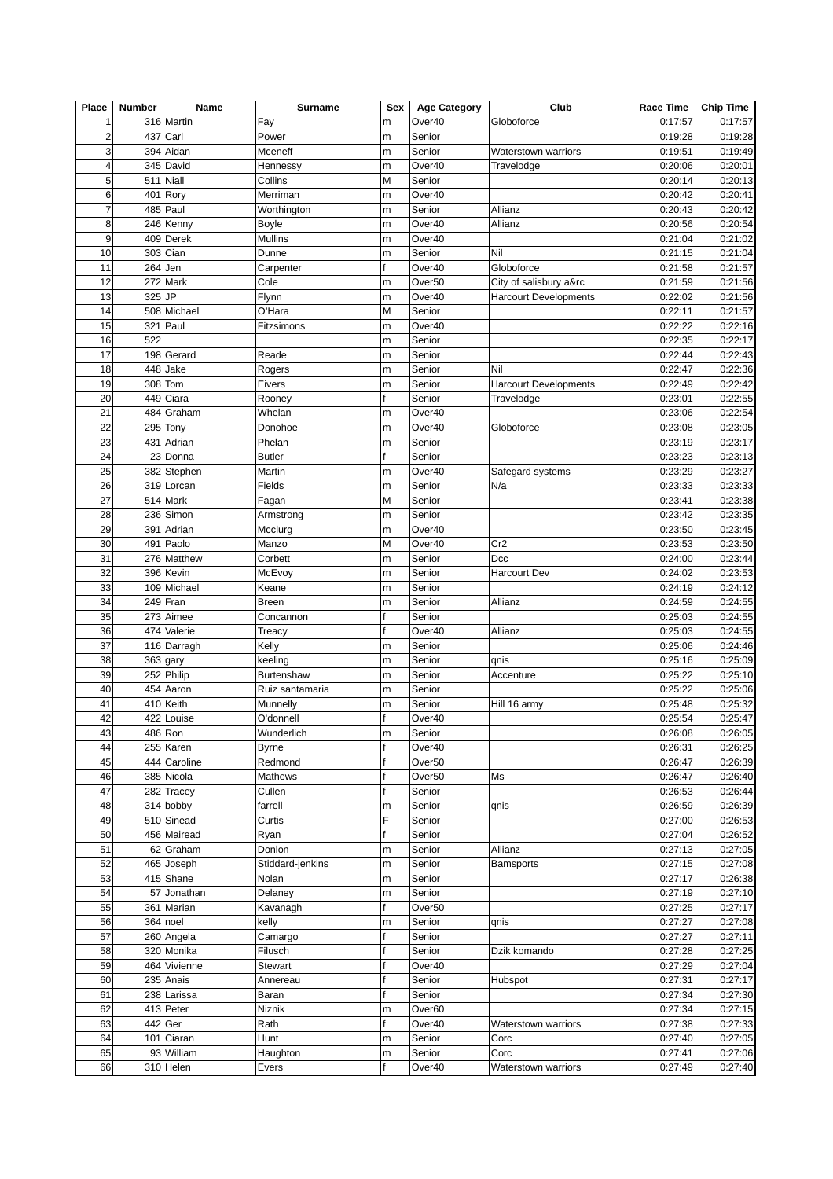| Place          | <b>Number</b> | Name                    | <b>Surname</b>             | Sex    | <b>Age Category</b> | Club                         | Race Time          | <b>Chip Time</b>   |
|----------------|---------------|-------------------------|----------------------------|--------|---------------------|------------------------------|--------------------|--------------------|
| $\mathbf 1$    |               | 316 Martin              | Fay                        | m      | Over40              | Globoforce                   | 0:17:57            | 0:17:57            |
| $\overline{c}$ |               | 437 Carl                | Power                      | m      | Senior              |                              | 0:19:28            | 0:19:28            |
| 3              |               | 394 Aidan               | Mceneff                    | m      | Senior              | <b>Waterstown warriors</b>   | 0:19:51            | 0:19:49            |
| $\overline{4}$ |               | 345 David               | Hennessy                   | m      | Over40              | Travelodge                   | 0:20:06            | 0:20:01            |
| 5              |               | 511 Niall               | Collins                    | М      | Senior              |                              | 0:20:14            | 0:20:13            |
| 6              |               | 401 Rory                | Merriman                   | m      | Over40              |                              | 0:20:42            | 0:20:41            |
| $\overline{7}$ |               | 485 Paul                | Worthington                | m      | Senior              | Allianz                      | 0:20:43            | 0:20:42            |
| 8              |               | 246 Kenny               | Boyle                      | m      | Over40              | Allianz                      | 0:20:56            | 0:20:54            |
| 9              |               | 409 Derek               | Mullins                    | m      | Over40              |                              | 0:21:04            | 0:21:02            |
| 10             |               | 303 Cian                | Dunne                      | m      | Senior              | Nil                          | 0:21:15            | 0:21:04            |
| 11             |               | $264$ Jen               | Carpenter                  | f      | Over40              | Globoforce                   | 0:21:58            | 0:21:57            |
| 12             |               | 272 Mark                | Cole                       | m      | Over <sub>50</sub>  | City of salisbury a&rc       | 0:21:59            | 0:21:56            |
| 13             | 325 JP        |                         | Flynn                      | m      | Over40              | <b>Harcourt Developments</b> | 0:22:02            | 0:21:56            |
| 14             |               | 508 Michael             | O'Hara                     | М      | Senior              |                              | 0:22:11            | 0:21:57            |
| 15             |               | 321 Paul                | Fitzsimons                 | m      | Over40              |                              | 0:22:22            | 0:22:16            |
| 16             | 522           |                         |                            | m      | Senior              |                              | 0:22:35            | 0:22:17            |
| 17             |               | 198 Gerard              | Reade                      | m      | Senior              |                              | 0:22:44            | 0:22:43            |
| 18             |               | 448 Jake                | Rogers                     | m      | Senior              | Nil                          | 0:22:47            | 0:22:36            |
| 19             |               | 308 Tom                 | Eivers                     | m      | Senior              | <b>Harcourt Developments</b> | 0:22:49            | 0:22:42            |
| 20             |               | 449 Ciara               | Rooney                     | f      | Senior              | Travelodge                   | 0:23:01            | 0:22:55            |
| 21             | 484           | Graham                  | Whelan                     | m      | Over40              |                              | 0:23:06            | 0:22:54            |
| 22             |               | 295 Tony                | Donohoe                    | m      | Over40              | Globoforce                   | 0:23:08            | 0:23:05            |
| 23             |               | 431 Adrian              | Phelan                     | m      | Senior              |                              | 0:23:19            | 0:23:17            |
| 24             |               | 23 Donna                | <b>Butler</b>              |        | Senior              |                              | 0:23:23            | 0:23:13            |
| 25             |               | 382 Stephen             | Martin                     | m      | Over40              | Safegard systems             | 0:23:29            | 0:23:27            |
| 26             |               | 319 Lorcan              | Fields                     | m      | Senior              | N/a                          | 0:23:33            | 0:23:33            |
| 27             |               | 514 Mark                | Fagan                      | M      | Senior              |                              | 0:23:41            | 0:23:38            |
| 28             |               | 236 Simon               | Armstrong                  | m      | Senior              |                              | 0:23:42            | 0:23:35            |
| 29             | 391           | Adrian                  | Mcclurg                    | m      | Over40              |                              | 0:23:50            | 0:23:45            |
| 30             |               | 491 Paolo               | Manzo                      | M      | Over40              | Cr <sub>2</sub>              | 0:23:53            | 0:23:50            |
| 31             |               | 276 Matthew             | Corbett                    | m      | Senior              | Dcc                          | 0:24:00            | 0:23:44            |
| 32             |               | 396 Kevin               | McEvoy                     | m      | Senior              | <b>Harcourt Dev</b>          | 0:24:02            | 0:23:53            |
| 33             |               | 109 Michael             | Keane                      | m      | Senior              |                              | 0:24:19            | 0:24:12            |
| 34             |               | 249 Fran                | <b>Breen</b>               | m      | Senior              | Allianz                      | 0:24:59            | 0:24:55            |
| 35             |               | $273$ Aimee             | Concannon                  |        | Senior              |                              | 0:25:03            | 0:24:55            |
| 36             |               | 474 Valerie             | Treacy                     |        | Over40              | Allianz                      | 0:25:03            | 0:24:55            |
| 37             |               | 116 Darragh             | Kelly                      | m      | Senior              |                              | 0:25:06            | 0:24:46            |
| 38             |               | 363 gary                | keeling                    | m      | Senior              | qnis                         | 0:25:16            | 0:25:09            |
| 39             |               | 252 Philip              | <b>Burtenshaw</b>          | m      | Senior              | Accenture                    | 0:25:22            | 0:25:10            |
| 40             |               | 454 Aaron               | Ruiz santamaria            | m      | Senior              |                              | 0:25:22            | 0:25:06            |
| 41             |               | 410 Keith               | Munnelly                   | m      | Senior              | Hill 16 army                 | 0:25:48            | 0:25:32            |
| 42             |               | 422 Louise              | O'donnell                  | f      | Over40              |                              | 0:25:54            | 0:25:47            |
| 43             |               | 486 Ron                 | Wunderlich                 | m      | Senior              |                              | 0:26:08            | 0:26:05            |
| 44             |               | 255 Karen               | <b>Byrne</b>               | f      | Over40              |                              | 0:26:31            | 0:26:25            |
| 45             |               | 444 Caroline            | Redmond                    |        | Over <sub>50</sub>  |                              | 0:26:47            | 0:26:39            |
| 46             |               | 385 Nicola              | Mathews                    |        | Over <sub>50</sub>  | Ms                           | 0:26:47            | 0:26:40            |
| 47             |               | 282 Tracey              | Cullen                     |        | Senior              |                              | 0:26:53            | 0:26:44            |
| 48             |               | 314 bobby               | farrell                    | m      | Senior              | qnis                         | 0:26:59            | 0:26:39            |
| 49             |               | 510 Sinead              | Curtis                     | F      | Senior              |                              | 0:27:00            | 0:26:53            |
| 50             |               | 456 Mairead             | Ryan                       |        | Senior              |                              | 0:27:04            | 0:26:52            |
|                |               |                         |                            |        |                     |                              |                    |                    |
| 51<br>52       |               | 62 Graham<br>465 Joseph | Donlon<br>Stiddard-jenkins | m<br>m | Senior<br>Senior    | Allianz<br><b>Bamsports</b>  | 0:27:13<br>0:27:15 | 0:27:05<br>0:27:08 |
| 53             |               | 415 Shane               | Nolan                      |        | Senior              |                              | 0:27:17            | 0:26:38            |
|                |               |                         |                            | m      |                     |                              |                    |                    |
| 54             |               | 57 Jonathan             | Delaney                    | m      | Senior              |                              | 0:27:19            | 0:27:10            |
| 55             |               | 361 Marian              | Kavanagh                   | f      | Over <sub>50</sub>  |                              | 0:27:25            | 0:27:17<br>0:27:08 |
| 56             |               | 364 noel                | kelly                      | m      | Senior              | qnis                         | 0:27:27            |                    |
| 57             |               | 260 Angela              | Camargo                    |        | Senior              |                              | 0:27:27            | 0:27:11            |
| 58             |               | 320 Monika              | Filusch                    |        | Senior              | Dzik komando                 | 0:27:28            | 0:27:25            |
| 59             |               | 464 Vivienne            | <b>Stewart</b>             |        | Over40              |                              | 0:27:29            | 0:27:04            |
| 60             |               | 235 Anais               | Annereau                   |        | Senior              | Hubspot                      | 0:27:31            | 0:27:17            |
| 61             |               | 238 Larissa             | Baran                      |        | Senior              |                              | 0:27:34            | 0:27:30            |
| 62             |               | 413 Peter               | Niznik                     | m      | Over60              |                              | 0:27:34            | 0:27:15            |
| 63             |               | 442 Ger                 | Rath                       | f      | Over40              | Waterstown warriors          | 0:27:38            | 0:27:33            |
| 64             |               | 101 Ciaran              | Hunt                       | m      | Senior              | Corc                         | 0:27:40            | 0:27:05            |
| 65             |               | 93 William              | Haughton                   | m      | Senior              | Corc                         | 0:27:41            | 0:27:06            |
| 66             |               | 310 Helen               | <b>Evers</b>               | f      | Over40              | <b>Waterstown warriors</b>   | 0:27:49            | 0:27:40            |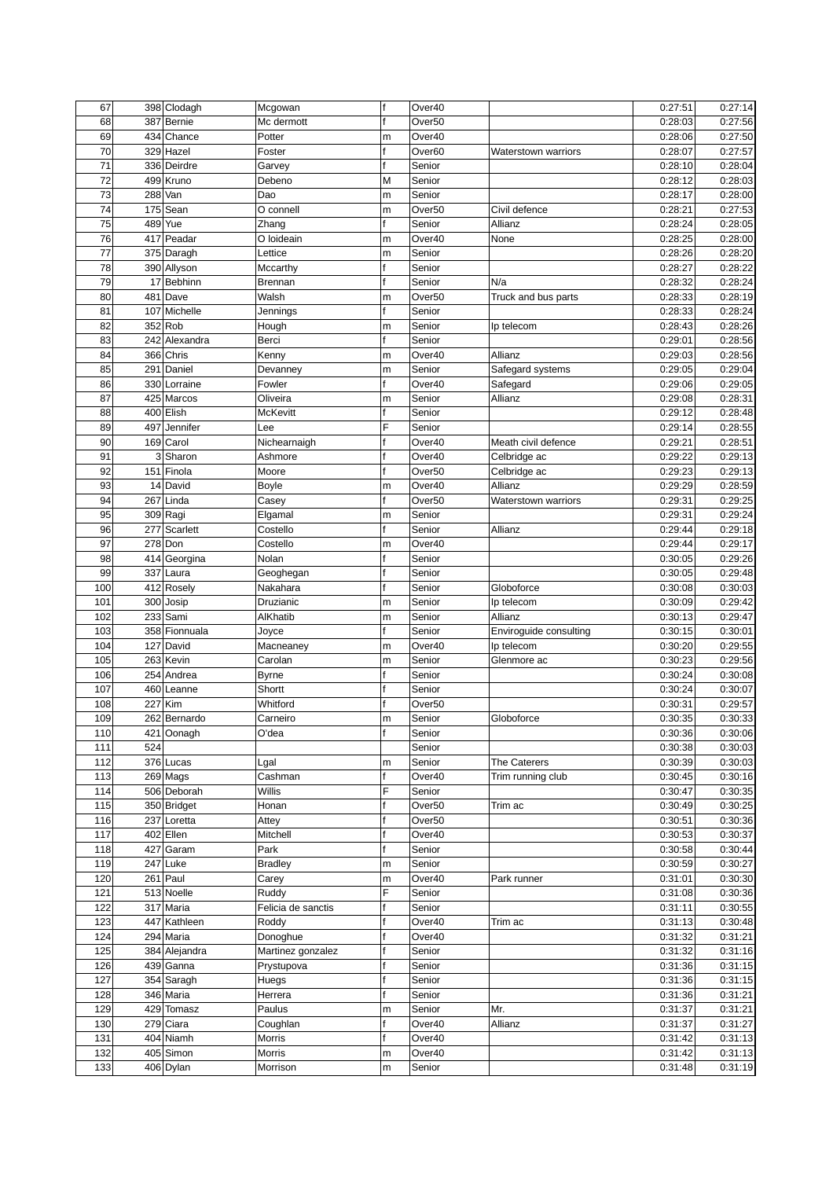| 67  |     | 398 Clodagh   | Mcgowan            | $\mathsf{f}$ | Over40             |                        | 0:27:51 | 0:27:14 |
|-----|-----|---------------|--------------------|--------------|--------------------|------------------------|---------|---------|
| 68  |     | 387 Bernie    | Mc dermott         | f            | Over <sub>50</sub> |                        | 0:28:03 | 0:27:56 |
| 69  |     | 434 Chance    | Potter             | m            | Over40             |                        | 0:28:06 | 0:27:50 |
| 70  |     | 329 Hazel     | Foster             | f            | Over60             | Waterstown warriors    | 0:28:07 | 0:27:57 |
| 71  |     | 336 Deirdre   | Garvey             | f            | Senior             |                        | 0:28:10 | 0:28:04 |
| 72  |     | 499 Kruno     | Debeno             | M            | Senior             |                        | 0:28:12 | 0:28:03 |
| 73  | 288 | Van           | Dao                | m            | Senior             |                        | 0:28:17 | 0:28:00 |
| 74  |     | 175 Sean      | O connell          | m            | Over <sub>50</sub> | Civil defence          | 0:28:21 | 0:27:53 |
| 75  | 489 | Yue           | Zhang              |              | Senior             | Allianz                | 0:28:24 | 0:28:05 |
| 76  |     | 417 Peadar    | O loideain         | m            | Over40             | None                   | 0:28:25 | 0:28:00 |
| 77  |     | 375 Daragh    | Lettice            | m            | Senior             |                        | 0:28:26 | 0:28:20 |
| 78  |     | 390 Allyson   | Mccarthy           |              | Senior             |                        | 0:28:27 | 0:28:22 |
| 79  |     | 17 Bebhinn    | <b>Brennan</b>     | f            | Senior             | N/a                    | 0:28:32 | 0:28:24 |
| 80  |     | 481 Dave      | Walsh              | m            | Over <sub>50</sub> | Truck and bus parts    | 0:28:33 | 0:28:19 |
| 81  |     | 107 Michelle  | Jennings           | f            | Senior             |                        | 0:28:33 | 0:28:24 |
| 82  |     | 352 Rob       | Hough              | m            | Senior             | Ip telecom             | 0:28:43 | 0:28:26 |
| 83  |     | 242 Alexandra | Berci              | f            | Senior             |                        | 0:29:01 | 0:28:56 |
| 84  |     | 366 Chris     | Kenny              | m            | Over40             | Allianz                | 0:29:03 | 0:28:56 |
| 85  |     | 291 Daniel    | Devanney           | m            | Senior             | Safegard systems       | 0:29:05 | 0:29:04 |
| 86  |     | 330 Lorraine  | Fowler             | f            | Over40             | Safegard               | 0:29:06 | 0:29:05 |
| 87  |     | 425 Marcos    | Oliveira           | m            | Senior             | Allianz                | 0:29:08 | 0:28:31 |
| 88  |     | 400 Elish     | <b>McKevitt</b>    |              | Senior             |                        | 0:29:12 | 0:28:48 |
| 89  | 497 | Jennifer      | Lee                | F            | Senior             |                        | 0:29:14 | 0:28:55 |
| 90  |     | 169 Carol     | Nichearnaigh       |              | Over40             | Meath civil defence    | 0:29:21 | 0:28:51 |
| 91  |     | 3 Sharon      | Ashmore            | f            | Over40             | Celbridge ac           | 0:29:22 | 0:29:13 |
| 92  |     | 151 Finola    | Moore              | f            | Over <sub>50</sub> | Celbridge ac           | 0:29:23 | 0:29:13 |
| 93  |     | 14 David      | Boyle              | m            | Over40             | Allianz                | 0:29:29 | 0:28:59 |
| 94  | 267 | Linda         | Casey              | f            | Over <sub>50</sub> | Waterstown warriors    | 0:29:31 | 0:29:25 |
| 95  |     | 309 Ragi      | Elgamal            | m            | Senior             |                        | 0:29:31 | 0:29:24 |
| 96  |     | 277 Scarlett  | Costello           | f            | Senior             | Allianz                | 0:29:44 | 0:29:18 |
| 97  |     | 278 Don       | Costello           | m            | Over40             |                        | 0:29:44 | 0:29:17 |
| 98  |     | 414 Georgina  | Nolan              |              | Senior             |                        | 0:30:05 | 0:29:26 |
| 99  |     | 337 Laura     | Geoghegan          |              | Senior             |                        | 0:30:05 | 0:29:48 |
| 100 |     | 412 Rosely    | Nakahara           | f            | Senior             | Globoforce             | 0:30:08 | 0:30:03 |
| 101 |     | 300 Josip     | Druzianic          | m            | Senior             | Ip telecom             | 0:30:09 | 0:29:42 |
| 102 |     | 233 Sami      | AlKhatib           | m            | Senior             | Allianz                | 0:30:13 | 0:29:47 |
| 103 |     | 358 Fionnuala | Joyce              | f            | Senior             | Enviroguide consulting | 0:30:15 | 0:30:01 |
| 104 |     | 127 David     | Macneaney          | m            | Over40             | Ip telecom             | 0:30:20 | 0:29:55 |
| 105 |     | 263 Kevin     | Carolan            | m            | Senior             | Glenmore ac            | 0:30:23 | 0:29:56 |
| 106 |     | 254 Andrea    | <b>Byrne</b>       | f            | Senior             |                        | 0:30:24 | 0:30:08 |
| 107 |     | 460 Leanne    | Shortt             | f            | Senior             |                        | 0:30:24 | 0:30:07 |
| 108 |     | 227 Kim       | Whitford           | f            | Over <sub>50</sub> |                        | 0:30:31 | 0:29:57 |
| 109 |     | 262 Bernardo  | Carneiro           | m            | Senior             | Globoforce             | 0:30:35 | 0:30:33 |
|     |     |               |                    |              |                    |                        | 0:30:36 |         |
| 110 |     | 421 Oonagh    | O'dea              | l f          | Senior             |                        |         | 0:30:06 |
| 111 | 524 |               |                    |              | Senior             |                        | 0:30:38 | 0:30:03 |
| 112 |     | 376 Lucas     | Lgal               | m<br>f       | Senior             | The Caterers           | 0:30:39 | 0:30:03 |
| 113 |     | 269 Mags      | Cashman            | F            | Over40             | Trim running club      | 0:30:45 | 0:30:16 |
| 114 |     | 506 Deborah   | Willis             |              | Senior             |                        | 0:30:47 | 0:30:35 |
| 115 |     | 350 Bridget   | Honan              |              | Over <sub>50</sub> | Trim ac                | 0:30:49 | 0:30:25 |
| 116 |     | 237 Loretta   | Attey              |              | Over <sub>50</sub> |                        | 0:30:51 | 0:30:36 |
| 117 |     | 402 Ellen     | Mitchell           |              | Over40             |                        | 0:30:53 | 0:30:37 |
| 118 |     | 427 Garam     | Park               | f            | Senior             |                        | 0:30:58 | 0:30:44 |
| 119 |     | 247 Luke      | <b>Bradley</b>     | m            | Senior             |                        | 0:30:59 | 0:30:27 |
| 120 |     | 261 Paul      | Carey              | m            | Over40             | Park runner            | 0:31:01 | 0:30:30 |
| 121 |     | 513 Noelle    | Ruddy              | F            | Senior             |                        | 0:31:08 | 0:30:36 |
| 122 |     | 317 Maria     | Felicia de sanctis | f            | Senior             |                        | 0:31:11 | 0:30:55 |
| 123 |     | 447 Kathleen  | Roddy              | f            | Over40             | Trim ac                | 0:31:13 | 0:30:48 |
| 124 |     | 294 Maria     | Donoghue           | f            | Over40             |                        | 0:31:32 | 0:31:21 |
| 125 |     | 384 Alejandra | Martinez gonzalez  | f            | Senior             |                        | 0:31:32 | 0:31:16 |
| 126 |     | 439 Ganna     | Prystupova         |              | Senior             |                        | 0:31:36 | 0:31:15 |
| 127 |     | 354 Saragh    | Huegs              |              | Senior             |                        | 0:31:36 | 0:31:15 |
| 128 |     | 346 Maria     | Herrera            | f            | Senior             |                        | 0:31:36 | 0:31:21 |
| 129 |     | 429 Tomasz    | Paulus             | m            | Senior             | Mr.                    | 0:31:37 | 0:31:21 |
| 130 |     | 279 Ciara     | Coughlan           |              | Over40             | Allianz                | 0:31:37 | 0:31:27 |
| 131 |     | 404 Niamh     | Morris             | f            | Over40             |                        | 0:31:42 | 0:31:13 |
| 132 |     | 405 Simon     | Morris             | m            | Over40             |                        | 0:31:42 | 0:31:13 |
| 133 |     | 406 Dylan     | Morrison           | m            | Senior             |                        | 0:31:48 | 0:31:19 |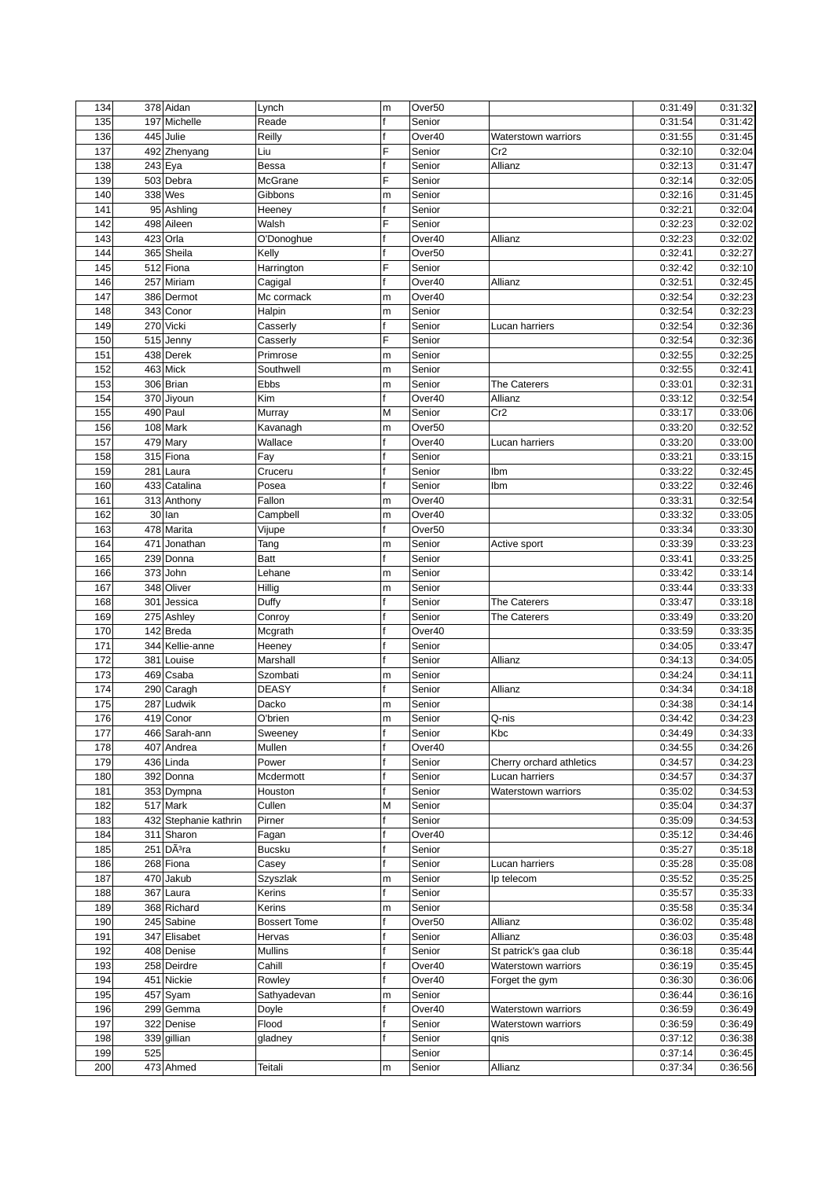| 134        |     | 378 Aidan                    | Lynch               | m      | Over <sub>50</sub>           |                                              | 0:31:49            | 0:31:32            |
|------------|-----|------------------------------|---------------------|--------|------------------------------|----------------------------------------------|--------------------|--------------------|
| 135        | 197 | Michelle                     | Reade               |        | Senior                       |                                              | 0:31:54            | 0:31:42            |
| 136        |     | 445 Julie                    | Reilly              |        | Over40                       | <b>Waterstown warriors</b>                   | 0:31:55            | 0:31:45            |
| 137        |     | 492 Zhenyang                 | Liu                 | F      | Senior                       | Cr2                                          | 0:32:10            | 0:32:04            |
| 138        |     | 243 Eya                      | <b>Bessa</b>        | f      | Senior                       | Allianz                                      | 0:32:13            | 0:31:47            |
| 139        |     | 503 Debra                    | McGrane             | F      | Senior                       |                                              | 0:32:14            | 0:32:05            |
| 140        |     | 338 Wes                      | Gibbons             | m      | Senior                       |                                              | 0:32:16            | 0:31:45            |
| 141        |     | 95 Ashling                   | Heeney              |        | Senior                       |                                              | 0:32:21            | 0:32:04            |
| 142        |     | 498 Aileen                   | Walsh               | F      | Senior                       |                                              | 0:32:23            | 0:32:02            |
| 143        |     | 423 Orla                     | O'Donoghue          | f      | Over40                       | Allianz                                      | 0:32:23            | 0:32:02            |
| 144        |     | 365 Sheila                   | Kelly               | f      | Over <sub>50</sub>           |                                              | 0:32:41            | 0:32:27            |
| 145        |     | 512 Fiona                    | Harrington          | F      | Senior                       |                                              | 0:32:42            | 0:32:10            |
| 146        |     | 257 Miriam                   | Cagigal             | f      | Over40                       | Allianz                                      | 0:32:51            | 0:32:45            |
| 147        |     | 386 Dermot                   | Mc cormack          | m      | Over40                       |                                              | 0:32:54            | 0:32:23            |
| 148        |     | 343 Conor                    | Halpin              | m      | Senior                       |                                              | 0:32:54            | 0:32:23            |
| 149        |     | 270 Vicki                    | Casserly            | f      | Senior                       | Lucan harriers                               | 0:32:54            | 0:32:36            |
| 150        |     | 515 Jenny                    | Casserly            | F      | Senior                       |                                              | 0:32:54            | 0:32:36            |
| 151        |     | 438 Derek                    | Primrose            | m      | Senior                       |                                              | 0:32:55            | 0:32:25            |
| 152        |     | 463 Mick                     | Southwell           | m      | Senior                       |                                              | 0:32:55            | 0:32:41            |
| 153        |     | 306 Brian                    | Ebbs                | m      | Senior                       | The Caterers                                 | 0:33:01            | 0:32:31            |
| 154        |     | 370 Jiyoun                   | Kim                 | f      | Over40                       | Allianz                                      | 0:33:12            | 0:32:54            |
| 155        |     | 490 Paul                     |                     | М      | Senior                       | Cr2                                          |                    |                    |
| 156        |     |                              | Murray              |        |                              |                                              | 0:33:17<br>0:33:20 | 0:33:06<br>0:32:52 |
| 157        |     | 108 Mark<br>479 Mary         | Kavanagh            | m<br>f | Over <sub>50</sub><br>Over40 |                                              |                    | 0:33:00            |
|            |     |                              | Wallace             |        |                              | Lucan harriers                               | 0:33:20<br>0:33:21 |                    |
| 158        |     | 315 Fiona                    | Fay                 | f      | Senior                       |                                              |                    | 0:33:15            |
| 159        |     | 281 Laura                    | Cruceru             |        | Senior                       | Ibm                                          | 0:33:22            | 0:32:45            |
| 160        |     | 433 Catalina                 | Posea               | f      | Senior                       | Ibm                                          | 0:33:22            | 0:32:46            |
| 161        |     | 313 Anthony                  | Fallon              | m      | Over40                       |                                              | 0:33:31            | 0:32:54            |
| 162        |     | 30 Ian                       | Campbell            | m      | Over40                       |                                              | 0:33:32            | 0:33:05            |
| 163        |     | 478 Marita                   | Vijupe              | f      | Over <sub>50</sub>           |                                              | 0:33:34            | 0:33:30            |
| 164        | 471 | Jonathan                     | Tang                | m      | Senior                       | Active sport                                 | 0:33:39            | 0:33:23            |
| 165        |     | 239 Donna                    | Batt                | f      | Senior                       |                                              | 0:33:41            | 0:33:25            |
| 166<br>167 |     | 373 John                     | Lehane              | m      | Senior                       |                                              | 0:33:42            | 0:33:14            |
| 168        | 301 | 348 Oliver<br><b>Jessica</b> | Hillig<br>Duffy     | m      | Senior<br>Senior             |                                              | 0:33:44<br>0:33:47 | 0:33:33<br>0:33:18 |
| 169        |     | 275 Ashley                   | Conroy              |        | Senior                       | The Caterers<br>The Caterers                 | 0:33:49            | 0:33:20            |
| 170        |     | 142 Breda                    | Mcgrath             |        | Over40                       |                                              | 0:33:59            | 0:33:35            |
| 171        | 344 | Kellie-anne                  | Heeney              |        | Senior                       |                                              | 0:34:05            | 0:33:47            |
| 172        |     | 381 Louise                   | Marshall            | f      | Senior                       | Allianz                                      | 0:34:13            | 0:34:05            |
| 173        |     | 469 Csaba                    | Szombati            | m      | Senior                       |                                              | 0:34:24            | 0:34:11            |
| 174        |     | 290 Caragh                   | <b>DEASY</b>        | f      | Senior                       | Allianz                                      | 0:34:34            | 0:34:18            |
| 175        | 287 | Ludwik                       | Dacko               | m      | Senior                       |                                              | 0:34:38            | 0:34:14            |
| 176        |     | 419 Conor                    | O'brien             | m      | Senior                       | Q-nis                                        | 0:34:42            | 0:34:23            |
| 177        |     | 466 Sarah-ann                | Sweeney             |        | Senior                       | Kbc                                          | 0:34:49            | 0:34:33            |
| 178        |     | 407 Andrea                   | Mullen              | f      | Over40                       |                                              | 0:34:55            | 0:34:26            |
| 179        |     | 436 Linda                    | Power               |        | Senior                       | Cherry orchard athletics                     | 0:34:57            | 0:34:23            |
| 180        |     | 392 Donna                    | Mcdermott           | f      | Senior                       | Lucan harriers                               | 0:34:57            | 0:34:37            |
| 181        |     | 353 Dympna                   | Houston             | f      | Senior                       | Waterstown warriors                          | 0:35:02            | 0:34:53            |
| 182        |     | 517 Mark                     | Cullen              | М      | Senior                       |                                              | 0:35:04            | 0:34:37            |
| 183        |     | 432 Stephanie kathrin        | Pirner              |        | Senior                       |                                              | 0:35:09            | 0:34:53            |
| 184        |     | 311 Sharon                   | Fagan               |        | Over40                       |                                              | 0:35:12            | 0:34:46            |
| 185        |     | 251 DÃ <sup>3</sup> ra       | <b>Bucsku</b>       | f      | Senior                       |                                              | 0:35:27            | 0:35:18            |
| 186        |     | 268 Fiona                    |                     | f      | Senior                       | Lucan harriers                               | 0:35:28            | 0:35:08            |
|            |     |                              | Casey               |        | Senior                       |                                              | 0:35:52            | 0:35:25            |
| 187        |     | 470 Jakub                    | Szyszlak            | m<br>f |                              | Ip telecom                                   | 0:35:57            | 0:35:33            |
| 188<br>189 | 367 | Laura<br>368 Richard         | Kerins<br>Kerins    |        | Senior                       |                                              |                    |                    |
|            |     |                              |                     | m      | Senior                       |                                              | 0:35:58            | 0:35:34            |
| 190        |     | 245 Sabine                   | <b>Bossert Tome</b> |        | Over <sub>50</sub><br>Senior | Allianz                                      | 0:36:02            | 0:35:48            |
| 191<br>192 |     | 347 Elisabet                 | Hervas<br>Mullins   |        | Senior                       | Allianz                                      | 0:36:03<br>0:36:18 | 0:35:48<br>0:35:44 |
| 193        |     | 408 Denise<br>258 Deirdre    | Cahill              |        | Over40                       | St patrick's gaa club<br>Waterstown warriors | 0:36:19            | 0:35:45            |
| 194        |     | 451 Nickie                   | Rowley              |        | Over40                       | Forget the gym                               | 0:36:30            | 0:36:06            |
| 195        | 457 | Syam                         | Sathyadevan         | m      | Senior                       |                                              | 0:36:44            | 0:36:16            |
| 196        |     | 299 Gemma                    | Doyle               |        | Over40                       | Waterstown warriors                          | 0:36:59            | 0:36:49            |
| 197        |     | 322 Denise                   | Flood               |        | Senior                       | Waterstown warriors                          | 0:36:59            | 0:36:49            |
| 198        |     | 339 gillian                  | gladney             | f      | Senior                       | qnis                                         | 0:37:12            | 0:36:38            |
| 199        | 525 |                              |                     |        | Senior                       |                                              | 0:37:14            | 0:36:45            |
| 200        |     | 473 Ahmed                    | Teitali             | m      | Senior                       | Allianz                                      | 0:37:34            | 0:36:56            |
|            |     |                              |                     |        |                              |                                              |                    |                    |